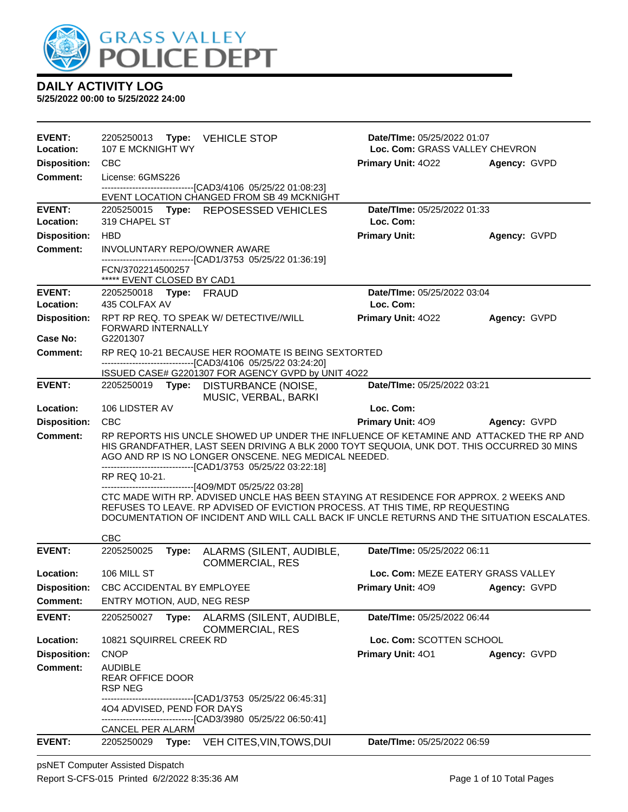

**5/25/2022 00:00 to 5/25/2022 24:00**

| <b>EVENT:</b>                          | 2205250013 Type: VEHICLE STOP                                                                                                                                                                                                                                                                                                  | Date/TIme: 05/25/2022 01:07              |  |
|----------------------------------------|--------------------------------------------------------------------------------------------------------------------------------------------------------------------------------------------------------------------------------------------------------------------------------------------------------------------------------|------------------------------------------|--|
| Location:                              | 107 E MCKNIGHT WY                                                                                                                                                                                                                                                                                                              | Loc. Com: GRASS VALLEY CHEVRON           |  |
| <b>Disposition:</b><br><b>Comment:</b> | <b>CBC</b><br>License: 6GMS226                                                                                                                                                                                                                                                                                                 | Primary Unit: 4022<br>Agency: GVPD       |  |
|                                        | ------------------------------[CAD3/4106 05/25/22 01:08:23]                                                                                                                                                                                                                                                                    |                                          |  |
|                                        | EVENT LOCATION CHANGED FROM SB 49 MCKNIGHT                                                                                                                                                                                                                                                                                     |                                          |  |
| <b>EVENT:</b><br>Location:             | 2205250015 Type: REPOSESSED VEHICLES<br>319 CHAPEL ST                                                                                                                                                                                                                                                                          | Date/TIme: 05/25/2022 01:33<br>Loc. Com: |  |
| <b>Disposition:</b>                    | <b>HBD</b>                                                                                                                                                                                                                                                                                                                     | <b>Primary Unit:</b><br>Agency: GVPD     |  |
| Comment:                               | INVOLUNTARY REPO/OWNER AWARE                                                                                                                                                                                                                                                                                                   |                                          |  |
|                                        | --------------------------------[CAD1/3753 05/25/22 01:36:19]<br>FCN/3702214500257<br>***** EVENT CLOSED BY CAD1                                                                                                                                                                                                               |                                          |  |
| <b>EVENT:</b>                          | 2205250018 Type: FRAUD                                                                                                                                                                                                                                                                                                         | Date/TIme: 05/25/2022 03:04              |  |
| Location:                              | 435 COLFAX AV                                                                                                                                                                                                                                                                                                                  | Loc. Com:                                |  |
| <b>Disposition:</b><br>Case No:        | RPT RP REQ. TO SPEAK W/ DETECTIVE//WILL<br><b>FORWARD INTERNALLY</b><br>G2201307                                                                                                                                                                                                                                               | Primary Unit: 4022<br>Agency: GVPD       |  |
| <b>Comment:</b>                        | RP REQ 10-21 BECAUSE HER ROOMATE IS BEING SEXTORTED                                                                                                                                                                                                                                                                            |                                          |  |
|                                        | -------------------------------[CAD3/4106 05/25/22 03:24:20]                                                                                                                                                                                                                                                                   |                                          |  |
| <b>EVENT:</b>                          | ISSUED CASE# G2201307 FOR AGENCY GVPD by UNIT 4022                                                                                                                                                                                                                                                                             | Date/TIme: 05/25/2022 03:21              |  |
|                                        | 2205250019 Type: DISTURBANCE (NOISE,<br>MUSIC, VERBAL, BARKI                                                                                                                                                                                                                                                                   |                                          |  |
| Location:                              | 106 LIDSTER AV                                                                                                                                                                                                                                                                                                                 | Loc. Com:                                |  |
| <b>Disposition:</b>                    | <b>CBC</b>                                                                                                                                                                                                                                                                                                                     | <b>Primary Unit: 409</b><br>Agency: GVPD |  |
| <b>Comment:</b>                        | RP REPORTS HIS UNCLE SHOWED UP UNDER THE INFLUENCE OF KETAMINE AND ATTACKED THE RP AND<br>HIS GRANDFATHER, LAST SEEN DRIVING A BLK 2000 TOYT SEQUOIA, UNK DOT. THIS OCCURRED 30 MINS<br>AGO AND RP IS NO LONGER ONSCENE. NEG MEDICAL NEEDED.<br>-------------------------------[CAD1/3753 05/25/22 03:22:18]<br>RP REQ 10-21.  |                                          |  |
|                                        | ------------------------------[4O9/MDT 05/25/22 03:28]<br>CTC MADE WITH RP. ADVISED UNCLE HAS BEEN STAYING AT RESIDENCE FOR APPROX. 2 WEEKS AND<br>REFUSES TO LEAVE. RP ADVISED OF EVICTION PROCESS. AT THIS TIME, RP REQUESTING<br>DOCUMENTATION OF INCIDENT AND WILL CALL BACK IF UNCLE RETURNS AND THE SITUATION ESCALATES. |                                          |  |
| <b>EVENT:</b>                          | <b>CBC</b><br>2205250025<br>Type:<br>ALARMS (SILENT, AUDIBLE,                                                                                                                                                                                                                                                                  | Date/TIme: 05/25/2022 06:11              |  |
|                                        | <b>COMMERCIAL, RES</b>                                                                                                                                                                                                                                                                                                         |                                          |  |
| Location:                              | 106 MILL ST                                                                                                                                                                                                                                                                                                                    | Loc. Com: MEZE EATERY GRASS VALLEY       |  |
| <b>Disposition:</b>                    | CBC ACCIDENTAL BY EMPLOYEE                                                                                                                                                                                                                                                                                                     | <b>Primary Unit: 409</b><br>Agency: GVPD |  |
| <b>Comment:</b>                        | ENTRY MOTION, AUD, NEG RESP                                                                                                                                                                                                                                                                                                    |                                          |  |
| <b>EVENT:</b>                          | 2205250027<br>ALARMS (SILENT, AUDIBLE,<br>Type:<br><b>COMMERCIAL, RES</b>                                                                                                                                                                                                                                                      | Date/TIme: 05/25/2022 06:44              |  |
| Location:                              | 10821 SQUIRREL CREEK RD                                                                                                                                                                                                                                                                                                        | Loc. Com: SCOTTEN SCHOOL                 |  |
| <b>Disposition:</b>                    | <b>CNOP</b>                                                                                                                                                                                                                                                                                                                    | Primary Unit: 401<br>Agency: GVPD        |  |
| <b>Comment:</b>                        | <b>AUDIBLE</b><br><b>REAR OFFICE DOOR</b><br><b>RSP NEG</b>                                                                                                                                                                                                                                                                    |                                          |  |
|                                        | -------------------------[CAD1/3753 05/25/22 06:45:31]<br>404 ADVISED, PEND FOR DAYS                                                                                                                                                                                                                                           |                                          |  |
|                                        | --------------------------------[CAD3/3980 05/25/22 06:50:41]<br>CANCEL PER ALARM                                                                                                                                                                                                                                              |                                          |  |
| <b>EVENT:</b>                          | VEH CITES, VIN, TOWS, DUI<br>2205250029 Type:                                                                                                                                                                                                                                                                                  | Date/TIme: 05/25/2022 06:59              |  |

psNET Computer Assisted Dispatch Report S-CFS-015 Printed 6/2/2022 8:35:36 AM Page 1 of 10 Total Pages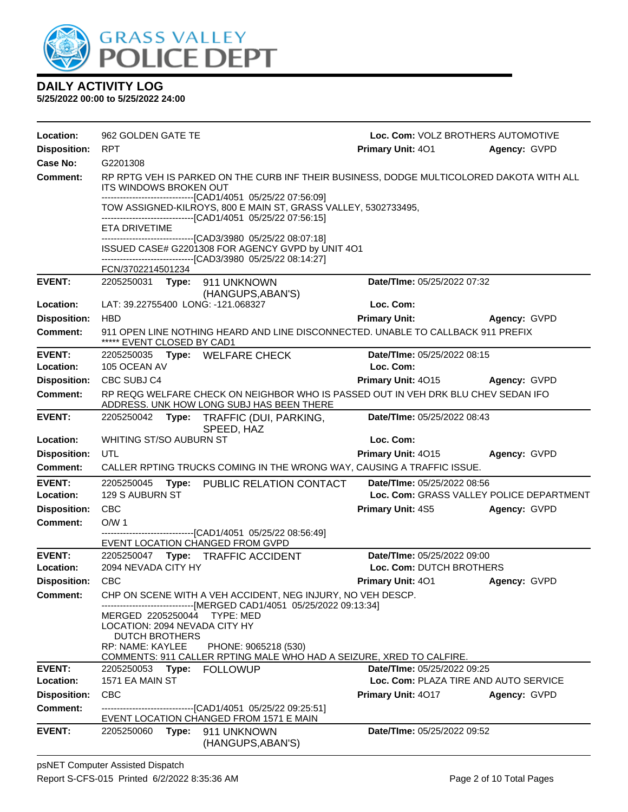

| Location:                  | 962 GOLDEN GATE TE                                                                              |                                                                                                                                                                                                | Loc. Com: VOLZ BROTHERS AUTOMOTIVE       |              |
|----------------------------|-------------------------------------------------------------------------------------------------|------------------------------------------------------------------------------------------------------------------------------------------------------------------------------------------------|------------------------------------------|--------------|
| <b>Disposition:</b>        | <b>RPT</b>                                                                                      |                                                                                                                                                                                                | <b>Primary Unit: 401</b>                 | Agency: GVPD |
| Case No:                   | G2201308                                                                                        |                                                                                                                                                                                                |                                          |              |
| Comment:                   | <b>ITS WINDOWS BROKEN OUT</b>                                                                   | RP RPTG VEH IS PARKED ON THE CURB INF THEIR BUSINESS, DODGE MULTICOLORED DAKOTA WITH ALL                                                                                                       |                                          |              |
|                            |                                                                                                 | -------------------------------[CAD1/4051 05/25/22 07:56:09]<br>TOW ASSIGNED-KILROYS, 800 E MAIN ST, GRASS VALLEY, 5302733495,<br>-------------------------------[CAD1/4051 05/25/22 07:56:15] |                                          |              |
|                            | <b>ETA DRIVETIME</b>                                                                            | ---------------------------------[CAD3/3980 05/25/22 08:07:18]                                                                                                                                 |                                          |              |
|                            |                                                                                                 | ISSUED CASE# G2201308 FOR AGENCY GVPD by UNIT 4O1<br>-------------------------------[CAD3/3980 05/25/22 08:14:27]                                                                              |                                          |              |
|                            | FCN/3702214501234                                                                               |                                                                                                                                                                                                |                                          |              |
| <b>EVENT:</b>              | 2205250031 <b>Type:</b>                                                                         | 911 UNKNOWN<br>(HANGUPS, ABAN'S)                                                                                                                                                               | Date/TIme: 05/25/2022 07:32              |              |
| Location:                  | LAT: 39.22755400 LONG: -121.068327                                                              |                                                                                                                                                                                                | Loc. Com:                                |              |
| <b>Disposition:</b>        | <b>HBD</b>                                                                                      |                                                                                                                                                                                                | <b>Primary Unit:</b>                     | Agency: GVPD |
| <b>Comment:</b>            | ***** EVENT CLOSED BY CAD1                                                                      | 911 OPEN LINE NOTHING HEARD AND LINE DISCONNECTED. UNABLE TO CALLBACK 911 PREFIX                                                                                                               |                                          |              |
| <b>EVENT:</b>              | 2205250035 Type: WELFARE CHECK                                                                  |                                                                                                                                                                                                | Date/TIme: 05/25/2022 08:15              |              |
| Location:                  | 105 OCEAN AV                                                                                    |                                                                                                                                                                                                | Loc. Com:                                |              |
| <b>Disposition:</b>        | CBC SUBJ C4                                                                                     |                                                                                                                                                                                                | Primary Unit: 4015 Agency: GVPD          |              |
| <b>Comment:</b>            |                                                                                                 | RP REQG WELFARE CHECK ON NEIGHBOR WHO IS PASSED OUT IN VEH DRK BLU CHEV SEDAN IFO<br>ADDRESS. UNK HOW LONG SUBJ HAS BEEN THERE                                                                 |                                          |              |
| <b>EVENT:</b>              |                                                                                                 | 2205250042 Type: TRAFFIC (DUI, PARKING,<br>SPEED, HAZ                                                                                                                                          | Date/TIme: 05/25/2022 08:43              |              |
| Location:                  | WHITING ST/SO AUBURN ST                                                                         |                                                                                                                                                                                                | Loc. Com:                                |              |
| <b>Disposition:</b>        | UTL                                                                                             |                                                                                                                                                                                                | Primary Unit: 4015                       | Agency: GVPD |
| <b>Comment:</b>            |                                                                                                 | CALLER RPTING TRUCKS COMING IN THE WRONG WAY, CAUSING A TRAFFIC ISSUE.                                                                                                                         |                                          |              |
| <b>EVENT:</b>              |                                                                                                 | 2205250045 Type: PUBLIC RELATION CONTACT                                                                                                                                                       | Date/TIme: 05/25/2022 08:56              |              |
| Location:                  | 129 S AUBURN ST                                                                                 |                                                                                                                                                                                                | Loc. Com: GRASS VALLEY POLICE DEPARTMENT |              |
| <b>Disposition:</b>        | <b>CBC</b>                                                                                      |                                                                                                                                                                                                | <b>Primary Unit: 4S5</b>                 | Agency: GVPD |
| <b>Comment:</b>            | O/W <sub>1</sub>                                                                                |                                                                                                                                                                                                |                                          |              |
|                            | EVENT LOCATION CHANGED FROM GVPD                                                                | -------------------------------[CAD1/4051_05/25/22 08:56:49]                                                                                                                                   |                                          |              |
| <b>EVENT:</b>              |                                                                                                 | 2205250047 Type: TRAFFIC ACCIDENT                                                                                                                                                              | Date/TIme: 05/25/2022 09:00              |              |
| Location:                  | 2094 NEVADA CITY HY                                                                             |                                                                                                                                                                                                | Loc. Com: DUTCH BROTHERS                 |              |
| <b>Disposition:</b>        | <b>CBC</b>                                                                                      |                                                                                                                                                                                                | <b>Primary Unit: 401</b>                 | Agency: GVPD |
| <b>Comment:</b>            |                                                                                                 | CHP ON SCENE WITH A VEH ACCIDENT, NEG INJURY, NO VEH DESCP.<br>-------------------------[MERGED CAD1/4051 05/25/2022 09:13:34]                                                                 |                                          |              |
|                            | MERGED 2205250044<br>LOCATION: 2094 NEVADA CITY HY<br><b>DUTCH BROTHERS</b><br>RP: NAME: KAYLEE | TYPE: MED<br>PHONE: 9065218 (530)                                                                                                                                                              |                                          |              |
|                            |                                                                                                 | COMMENTS: 911 CALLER RPTING MALE WHO HAD A SEIZURE, XRED TO CALFIRE.                                                                                                                           |                                          |              |
| <b>EVENT:</b><br>Location: | 2205250053<br>Type:                                                                             | <b>FOLLOWUP</b>                                                                                                                                                                                | Date/TIme: 05/25/2022 09:25              |              |
|                            | 1571 EA MAIN ST                                                                                 |                                                                                                                                                                                                | Loc. Com: PLAZA TIRE AND AUTO SERVICE    |              |
| <b>Disposition:</b>        | <b>CBC</b>                                                                                      |                                                                                                                                                                                                | <b>Primary Unit: 4017</b>                | Agency: GVPD |
| Comment:                   |                                                                                                 | -------------------------------[CAD1/4051 05/25/22 09:25:51]<br>EVENT LOCATION CHANGED FROM 1571 E MAIN                                                                                        |                                          |              |
| <b>EVENT:</b>              | 2205250060<br>Type:                                                                             | 911 UNKNOWN<br>(HANGUPS, ABAN'S)                                                                                                                                                               | Date/TIme: 05/25/2022 09:52              |              |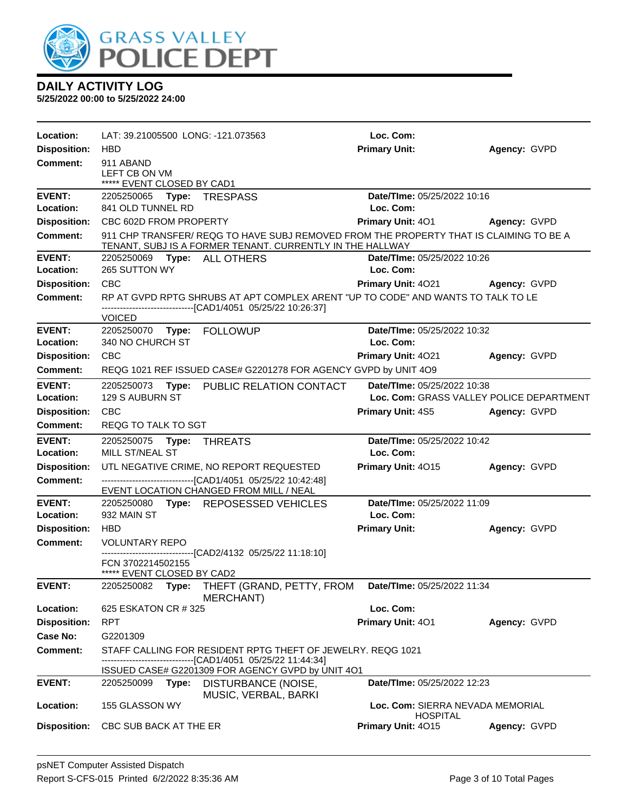

| Location:                  | LAT: 39.21005500 LONG: -121.073563                       |                                                                                                                                                     | Loc. Com:                                                               |                     |
|----------------------------|----------------------------------------------------------|-----------------------------------------------------------------------------------------------------------------------------------------------------|-------------------------------------------------------------------------|---------------------|
| <b>Disposition:</b>        | HBD                                                      |                                                                                                                                                     | <b>Primary Unit:</b>                                                    | Agency: GVPD        |
| <b>Comment:</b>            | 911 ABAND<br>LEFT CB ON VM<br>***** EVENT CLOSED BY CAD1 |                                                                                                                                                     |                                                                         |                     |
| <b>EVENT:</b>              | 2205250065 Type: TRESPASS                                |                                                                                                                                                     | Date/TIme: 05/25/2022 10:16                                             |                     |
| Location:                  | 841 OLD TUNNEL RD                                        |                                                                                                                                                     | Loc. Com:                                                               |                     |
| <b>Disposition:</b>        | CBC 602D FROM PROPERTY                                   |                                                                                                                                                     | <b>Primary Unit: 401</b>                                                | <b>Agency: GVPD</b> |
| Comment:                   |                                                          | 911 CHP TRANSFER/ REQG TO HAVE SUBJ REMOVED FROM THE PROPERTY THAT IS CLAIMING TO BE A<br>TENANT, SUBJ IS A FORMER TENANT. CURRENTLY IN THE HALLWAY |                                                                         |                     |
| <b>EVENT:</b>              | 2205250069 Type: ALL OTHERS                              |                                                                                                                                                     | Date/TIme: 05/25/2022 10:26                                             |                     |
| Location:                  | 265 SUTTON WY                                            |                                                                                                                                                     | Loc. Com:                                                               |                     |
| <b>Disposition:</b>        | <b>CBC</b>                                               |                                                                                                                                                     | Primary Unit: 4021 Agency: GVPD                                         |                     |
| Comment:                   |                                                          | RP AT GVPD RPTG SHRUBS AT APT COMPLEX ARENT "UP TO CODE" AND WANTS TO TALK TO LE<br>-------------------------------[CAD1/4051 05/25/22 10:26:37]    |                                                                         |                     |
|                            | <b>VOICED</b>                                            |                                                                                                                                                     |                                                                         |                     |
| <b>EVENT:</b><br>Location: | 2205250070 Type: FOLLOWUP<br>340 NO CHURCH ST            |                                                                                                                                                     | Date/TIme: 05/25/2022 10:32<br>Loc. Com:                                |                     |
| <b>Disposition:</b>        | <b>CBC</b>                                               |                                                                                                                                                     |                                                                         |                     |
| Comment:                   |                                                          | REQG 1021 REF ISSUED CASE# G2201278 FOR AGENCY GVPD by UNIT 4O9                                                                                     | <b>Primary Unit: 4021</b>                                               | Agency: GVPD        |
|                            |                                                          |                                                                                                                                                     |                                                                         |                     |
| <b>EVENT:</b><br>Location: | 2205250073<br>129 S AUBURN ST                            | Type: PUBLIC RELATION CONTACT                                                                                                                       | Date/TIme: 05/25/2022 10:38<br>Loc. Com: GRASS VALLEY POLICE DEPARTMENT |                     |
| <b>Disposition:</b>        | <b>CBC</b>                                               |                                                                                                                                                     | <b>Primary Unit: 4S5</b>                                                | Agency: GVPD        |
| Comment:                   | REQG TO TALK TO SGT                                      |                                                                                                                                                     |                                                                         |                     |
|                            |                                                          |                                                                                                                                                     |                                                                         |                     |
|                            |                                                          |                                                                                                                                                     |                                                                         |                     |
| <b>EVENT:</b>              | 2205250075<br>Type:                                      | <b>THREATS</b>                                                                                                                                      | Date/TIme: 05/25/2022 10:42                                             |                     |
| Location:                  | MILL ST/NEAL ST                                          |                                                                                                                                                     | Loc. Com:                                                               |                     |
| <b>Disposition:</b>        |                                                          | UTL NEGATIVE CRIME, NO REPORT REQUESTED                                                                                                             | Primary Unit: 4015                                                      | Agency: GVPD        |
| Comment:                   |                                                          | -------------------------------[CAD1/4051 05/25/22 10:42:48]<br>EVENT LOCATION CHANGED FROM MILL / NEAL                                             |                                                                         |                     |
| <b>EVENT:</b>              |                                                          | 2205250080 Type: REPOSESSED VEHICLES                                                                                                                | Date/TIme: 05/25/2022 11:09                                             |                     |
| Location:                  | 932 MAIN ST                                              |                                                                                                                                                     | Loc. Com:                                                               |                     |
| <b>Disposition:</b>        | <b>HBD</b>                                               |                                                                                                                                                     | <b>Primary Unit:</b>                                                    | Agency: GVPD        |
| Comment:                   | <b>VOLUNTARY REPO</b>                                    |                                                                                                                                                     |                                                                         |                     |
|                            | FCN 3702214502155<br>***** EVENT CLOSED BY CAD2          | --------------------------------[CAD2/4132 05/25/22 11:18:10]                                                                                       |                                                                         |                     |
| <b>EVENT:</b>              |                                                          | 2205250082 Type: THEFT (GRAND, PETTY, FROM Date/Time: 05/25/2022 11:34<br>MERCHANT)                                                                 |                                                                         |                     |
| Location:                  | 625 ESKATON CR # 325                                     |                                                                                                                                                     | Loc. Com:                                                               |                     |
| <b>Disposition:</b>        | <b>RPT</b>                                               |                                                                                                                                                     | Primary Unit: 401                                                       | Agency: GVPD        |
| Case No:                   | G2201309                                                 |                                                                                                                                                     |                                                                         |                     |
| Comment:                   |                                                          | STAFF CALLING FOR RESIDENT RPTG THEFT OF JEWELRY. REQG 1021<br>------------------------------[CAD1/4051 05/25/22 11:44:34]                          |                                                                         |                     |
|                            |                                                          | ISSUED CASE# G2201309 FOR AGENCY GVPD by UNIT 4O1                                                                                                   |                                                                         |                     |
| <b>EVENT:</b>              |                                                          | 2205250099 Type: DISTURBANCE (NOISE,                                                                                                                | Date/TIme: 05/25/2022 12:23                                             |                     |
| Location:                  | 155 GLASSON WY                                           | MUSIC, VERBAL, BARKI                                                                                                                                | Loc. Com: SIERRA NEVADA MEMORIAL<br><b>HOSPITAL</b>                     |                     |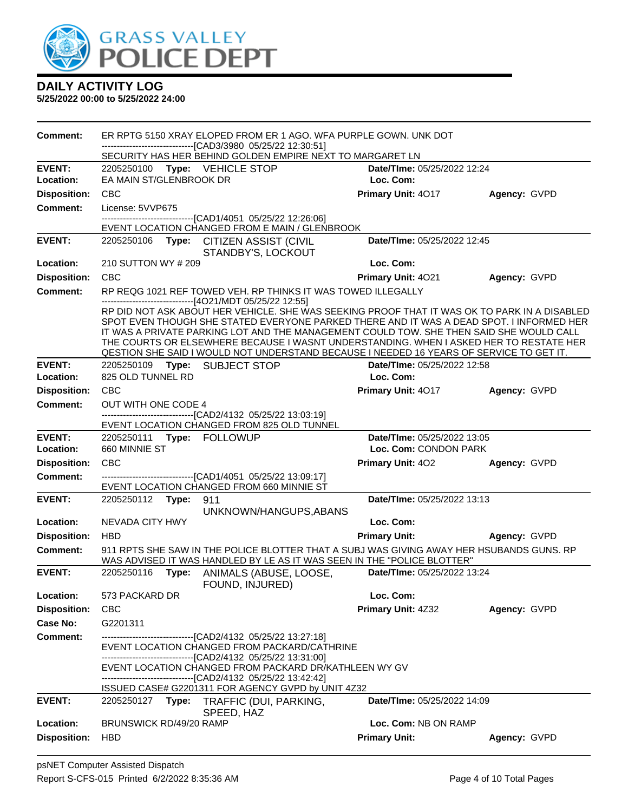

| Comment:            | ER RPTG 5150 XRAY ELOPED FROM ER 1 AGO. WFA PURPLE GOWN, UNK DOT<br>--------------------------[CAD3/3980_05/25/22 12:30:51]                                                                                                                                                                                                                                                                                                                                              |                             |              |
|---------------------|--------------------------------------------------------------------------------------------------------------------------------------------------------------------------------------------------------------------------------------------------------------------------------------------------------------------------------------------------------------------------------------------------------------------------------------------------------------------------|-----------------------------|--------------|
|                     | SECURITY HAS HER BEHIND GOLDEN EMPIRE NEXT TO MARGARET LN                                                                                                                                                                                                                                                                                                                                                                                                                |                             |              |
| <b>EVENT:</b>       | 2205250100 Type: VEHICLE STOP                                                                                                                                                                                                                                                                                                                                                                                                                                            | Date/TIme: 05/25/2022 12:24 |              |
| Location:           | EA MAIN ST/GLENBROOK DR                                                                                                                                                                                                                                                                                                                                                                                                                                                  | Loc. Com:                   |              |
| <b>Disposition:</b> | <b>CBC</b>                                                                                                                                                                                                                                                                                                                                                                                                                                                               | Primary Unit: 4017          | Agency: GVPD |
| <b>Comment:</b>     | License: 5VVP675                                                                                                                                                                                                                                                                                                                                                                                                                                                         |                             |              |
|                     | -----------------------[CAD1/4051_05/25/22 12:26:06]<br>EVENT LOCATION CHANGED FROM E MAIN / GLENBROOK                                                                                                                                                                                                                                                                                                                                                                   |                             |              |
| <b>EVENT:</b>       | 2205250106 Type: CITIZEN ASSIST (CIVIL<br>STANDBY'S, LOCKOUT                                                                                                                                                                                                                                                                                                                                                                                                             | Date/TIme: 05/25/2022 12:45 |              |
| Location:           | 210 SUTTON WY # 209                                                                                                                                                                                                                                                                                                                                                                                                                                                      | Loc. Com:                   |              |
| <b>Disposition:</b> | <b>CBC</b>                                                                                                                                                                                                                                                                                                                                                                                                                                                               | Primary Unit: 4021          | Agency: GVPD |
| <b>Comment:</b>     | RP REQG 1021 REF TOWED VEH. RP THINKS IT WAS TOWED ILLEGALLY<br>------------------------------[4O21/MDT 05/25/22 12:55]                                                                                                                                                                                                                                                                                                                                                  |                             |              |
|                     | RP DID NOT ASK ABOUT HER VEHICLE. SHE WAS SEEKING PROOF THAT IT WAS OK TO PARK IN A DISABLED<br>SPOT EVEN THOUGH SHE STATED EVERYONE PARKED THERE AND IT WAS A DEAD SPOT. I INFORMED HER<br>IT WAS A PRIVATE PARKING LOT AND THE MANAGEMENT COULD TOW. SHE THEN SAID SHE WOULD CALL<br>THE COURTS OR ELSEWHERE BECAUSE I WASNT UNDERSTANDING. WHEN I ASKED HER TO RESTATE HER<br>QESTION SHE SAID I WOULD NOT UNDERSTAND BECAUSE I NEEDED 16 YEARS OF SERVICE TO GET IT. |                             |              |
| <b>EVENT:</b>       | 2205250109 Type: SUBJECT STOP                                                                                                                                                                                                                                                                                                                                                                                                                                            | Date/TIme: 05/25/2022 12:58 |              |
| Location:           | 825 OLD TUNNEL RD                                                                                                                                                                                                                                                                                                                                                                                                                                                        | Loc. Com:                   |              |
| <b>Disposition:</b> | <b>CBC</b>                                                                                                                                                                                                                                                                                                                                                                                                                                                               | Primary Unit: 4017          | Agency: GVPD |
| <b>Comment:</b>     | OUT WITH ONE CODE 4                                                                                                                                                                                                                                                                                                                                                                                                                                                      |                             |              |
|                     | ---------------------------------[CAD2/4132 05/25/22 13:03:19]<br>EVENT LOCATION CHANGED FROM 825 OLD TUNNEL                                                                                                                                                                                                                                                                                                                                                             |                             |              |
| <b>EVENT:</b>       | 2205250111 Type: FOLLOWUP                                                                                                                                                                                                                                                                                                                                                                                                                                                | Date/TIme: 05/25/2022 13:05 |              |
| Location:           | 660 MINNIE ST                                                                                                                                                                                                                                                                                                                                                                                                                                                            | Loc. Com: CONDON PARK       |              |
| <b>Disposition:</b> | <b>CBC</b>                                                                                                                                                                                                                                                                                                                                                                                                                                                               | <b>Primary Unit: 402</b>    | Agency: GVPD |
| <b>Comment:</b>     | ------------------------------[CAD1/4051 05/25/22 13:09:17]<br>EVENT LOCATION CHANGED FROM 660 MINNIE ST                                                                                                                                                                                                                                                                                                                                                                 |                             |              |
| <b>EVENT:</b>       | 2205250112 Type: 911                                                                                                                                                                                                                                                                                                                                                                                                                                                     | Date/TIme: 05/25/2022 13:13 |              |
|                     | UNKNOWN/HANGUPS, ABANS                                                                                                                                                                                                                                                                                                                                                                                                                                                   |                             |              |
| Location:           | NEVADA CITY HWY                                                                                                                                                                                                                                                                                                                                                                                                                                                          | Loc. Com:                   |              |
| <b>Disposition:</b> | <b>HBD</b>                                                                                                                                                                                                                                                                                                                                                                                                                                                               | <b>Primary Unit:</b>        | Agency: GVPD |
| <b>Comment:</b>     | 911 RPTS SHE SAW IN THE POLICE BLOTTER THAT A SUBJ WAS GIVING AWAY HER HSUBANDS GUNS. RP<br>WAS ADVISED IT WAS HANDLED BY LE AS IT WAS SEEN IN THE "POLICE BLOTTER"                                                                                                                                                                                                                                                                                                      |                             |              |
| <b>EVENT:</b>       | 2205250116<br>Type:<br>ANIMALS (ABUSE, LOOSE,<br>FOUND, INJURED)                                                                                                                                                                                                                                                                                                                                                                                                         | Date/TIme: 05/25/2022 13:24 |              |
| Location:           | 573 PACKARD DR                                                                                                                                                                                                                                                                                                                                                                                                                                                           | Loc. Com:                   |              |
| <b>Disposition:</b> | <b>CBC</b>                                                                                                                                                                                                                                                                                                                                                                                                                                                               | Primary Unit: 4Z32          | Agency: GVPD |
| Case No:            | G2201311                                                                                                                                                                                                                                                                                                                                                                                                                                                                 |                             |              |
| <b>Comment:</b>     | -------------------------------[CAD2/4132 05/25/22 13:27:18]                                                                                                                                                                                                                                                                                                                                                                                                             |                             |              |
|                     | EVENT LOCATION CHANGED FROM PACKARD/CATHRINE                                                                                                                                                                                                                                                                                                                                                                                                                             |                             |              |
|                     | -------------------------------[CAD2/4132 05/25/22 13:31:00]<br>EVENT LOCATION CHANGED FROM PACKARD DR/KATHLEEN WY GV<br>----------------------[CAD2/4132_05/25/22 13:42:42]                                                                                                                                                                                                                                                                                             |                             |              |
|                     | ISSUED CASE# G2201311 FOR AGENCY GVPD by UNIT 4Z32                                                                                                                                                                                                                                                                                                                                                                                                                       |                             |              |
| <b>EVENT:</b>       | TRAFFIC (DUI, PARKING,<br>2205250127<br>Type:<br>SPEED, HAZ                                                                                                                                                                                                                                                                                                                                                                                                              | Date/TIme: 05/25/2022 14:09 |              |
| Location:           | BRUNSWICK RD/49/20 RAMP                                                                                                                                                                                                                                                                                                                                                                                                                                                  | Loc. Com: NB ON RAMP        |              |
| <b>Disposition:</b> | <b>HBD</b>                                                                                                                                                                                                                                                                                                                                                                                                                                                               | <b>Primary Unit:</b>        | Agency: GVPD |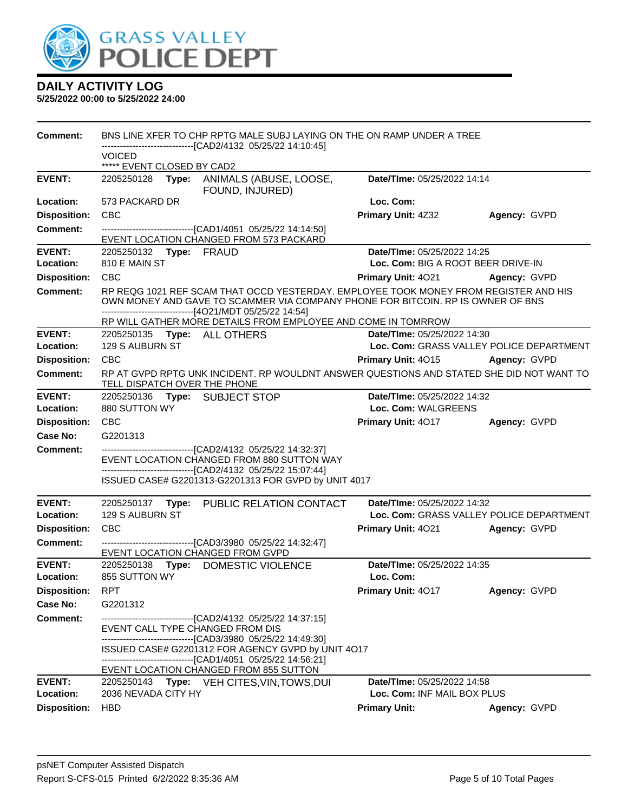

| <b>Comment:</b>            | BNS LINE XFER TO CHP RPTG MALE SUBJ LAYING ON THE ON RAMP UNDER A TREE                                                                                                                                                            |                                          |              |  |  |  |
|----------------------------|-----------------------------------------------------------------------------------------------------------------------------------------------------------------------------------------------------------------------------------|------------------------------------------|--------------|--|--|--|
|                            | --------------------[CAD2/4132_05/25/22 14:10:45]<br><b>VOICED</b>                                                                                                                                                                |                                          |              |  |  |  |
|                            | ***** EVENT CLOSED BY CAD2                                                                                                                                                                                                        |                                          |              |  |  |  |
| <b>EVENT:</b>              | 2205250128<br>Type: ANIMALS (ABUSE, LOOSE,<br>FOUND, INJURED)                                                                                                                                                                     | Date/TIme: 05/25/2022 14:14              |              |  |  |  |
| Location:                  | 573 PACKARD DR                                                                                                                                                                                                                    | Loc. Com:                                |              |  |  |  |
| <b>Disposition:</b>        | <b>CBC</b>                                                                                                                                                                                                                        | <b>Primary Unit: 4Z32</b>                | Agency: GVPD |  |  |  |
| <b>Comment:</b>            | -------------------------------[CAD1/4051 05/25/22 14:14:50]<br>EVENT LOCATION CHANGED FROM 573 PACKARD                                                                                                                           |                                          |              |  |  |  |
| <b>EVENT:</b>              | 2205250132 Type: FRAUD                                                                                                                                                                                                            | Date/TIme: 05/25/2022 14:25              |              |  |  |  |
| Location:                  | 810 E MAIN ST                                                                                                                                                                                                                     | Loc. Com: BIG A ROOT BEER DRIVE-IN       |              |  |  |  |
| <b>Disposition:</b>        | <b>CBC</b>                                                                                                                                                                                                                        | <b>Primary Unit: 4021</b>                | Agency: GVPD |  |  |  |
| <b>Comment:</b>            | RP REQG 1021 REF SCAM THAT OCCD YESTERDAY. EMPLOYEE TOOK MONEY FROM REGISTER AND HIS<br>OWN MONEY AND GAVE TO SCAMMER VIA COMPANY PHONE FOR BITCOIN. RP IS OWNER OF BNS<br>-----------------------------[4O21/MDT 05/25/22 14:54] |                                          |              |  |  |  |
|                            | RP WILL GATHER MORE DETAILS FROM EMPLOYEE AND COME IN TOMRROW                                                                                                                                                                     |                                          |              |  |  |  |
| <b>EVENT:</b>              | 2205250135 Type: ALL OTHERS                                                                                                                                                                                                       | Date/Time: 05/25/2022 14:30              |              |  |  |  |
| Location:                  | 129 S AUBURN ST                                                                                                                                                                                                                   | Loc. Com: GRASS VALLEY POLICE DEPARTMENT |              |  |  |  |
| <b>Disposition:</b>        | <b>CBC</b>                                                                                                                                                                                                                        | <b>Primary Unit: 4015 Agency: GVPD</b>   |              |  |  |  |
| <b>Comment:</b>            | RP AT GVPD RPTG UNK INCIDENT. RP WOULDNT ANSWER QUESTIONS AND STATED SHE DID NOT WANT TO<br>TELL DISPATCH OVER THE PHONE                                                                                                          |                                          |              |  |  |  |
| <b>EVENT:</b>              | 2205250136 Type: SUBJECT STOP                                                                                                                                                                                                     | Date/TIme: 05/25/2022 14:32              |              |  |  |  |
| Location:                  | 880 SUTTON WY                                                                                                                                                                                                                     | Loc. Com: WALGREENS                      |              |  |  |  |
| <b>Disposition:</b>        | <b>CBC</b>                                                                                                                                                                                                                        | Primary Unit: 4017                       | Agency: GVPD |  |  |  |
| <b>Case No:</b>            | G2201313                                                                                                                                                                                                                          |                                          |              |  |  |  |
| <b>Comment:</b>            | ----------------------------------[CAD2/4132 05/25/22 14:32:37]<br>EVENT LOCATION CHANGED FROM 880 SUTTON WAY                                                                                                                     |                                          |              |  |  |  |
|                            | -------------------------------[CAD2/4132 05/25/22 15:07:44]                                                                                                                                                                      |                                          |              |  |  |  |
|                            | ISSUED CASE# G2201313-G2201313 FOR GVPD by UNIT 4017                                                                                                                                                                              |                                          |              |  |  |  |
| <b>EVENT:</b>              | 2205250137 Type: PUBLIC RELATION CONTACT                                                                                                                                                                                          | Date/TIme: 05/25/2022 14:32              |              |  |  |  |
| Location:                  | 129 S AUBURN ST                                                                                                                                                                                                                   | Loc. Com: GRASS VALLEY POLICE DEPARTMENT |              |  |  |  |
| <b>Disposition:</b>        | <b>CBC</b>                                                                                                                                                                                                                        | <b>Primary Unit: 4021</b>                | Agency: GVPD |  |  |  |
| Comment:                   | -------------------------------[CAD3/3980 05/25/22 14:32:47]<br>EVENT LOCATION CHANGED FROM GVPD                                                                                                                                  |                                          |              |  |  |  |
| <b>EVENT:</b>              | 2205250138<br>DOMESTIC VIOLENCE<br>Type:                                                                                                                                                                                          | Date/TIme: 05/25/2022 14:35              |              |  |  |  |
| Location:                  | 855 SUTTON WY                                                                                                                                                                                                                     | Loc. Com:                                |              |  |  |  |
| <b>Disposition:</b>        | <b>RPT</b>                                                                                                                                                                                                                        | Primary Unit: 4017                       | Agency: GVPD |  |  |  |
| Case No:                   | G2201312                                                                                                                                                                                                                          |                                          |              |  |  |  |
| <b>Comment:</b>            | -------------------------------[CAD2/4132 05/25/22 14:37:15]                                                                                                                                                                      |                                          |              |  |  |  |
|                            | EVENT CALL TYPE CHANGED FROM DIS<br>----------------------------------[CAD3/3980 05/25/22 14:49:30]                                                                                                                               |                                          |              |  |  |  |
|                            | ISSUED CASE# G2201312 FOR AGENCY GVPD by UNIT 4017                                                                                                                                                                                |                                          |              |  |  |  |
|                            | -------------------------------[CAD1/4051 05/25/22 14:56:21]                                                                                                                                                                      |                                          |              |  |  |  |
|                            | EVENT LOCATION CHANGED FROM 855 SUTTON                                                                                                                                                                                            |                                          |              |  |  |  |
| <b>EVENT:</b><br>Location: | 2205250143<br>Type: VEH CITES, VIN, TOWS, DUI                                                                                                                                                                                     | Date/TIme: 05/25/2022 14:58              |              |  |  |  |
|                            | 2036 NEVADA CITY HY                                                                                                                                                                                                               | Loc. Com: INF MAIL BOX PLUS              |              |  |  |  |
| <b>Disposition:</b>        | <b>HBD</b>                                                                                                                                                                                                                        | <b>Primary Unit:</b>                     | Agency: GVPD |  |  |  |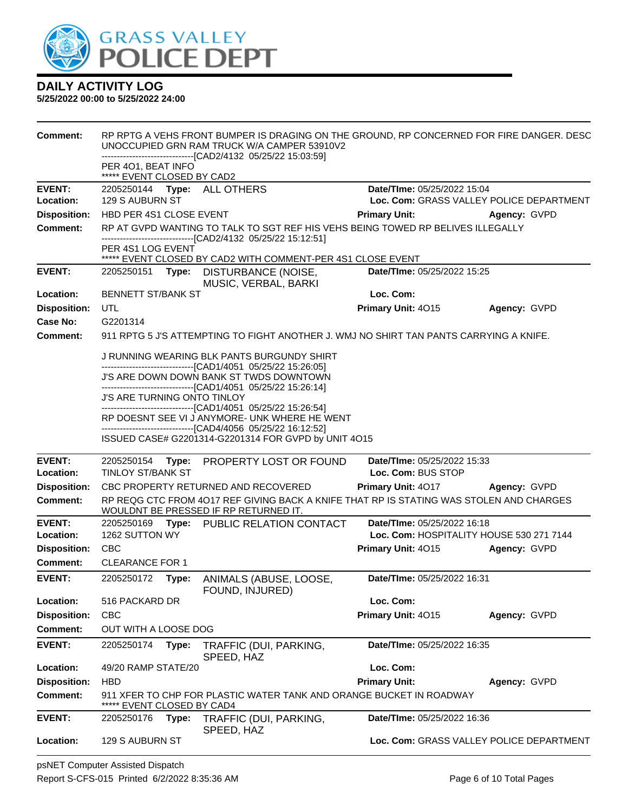

| <b>Comment:</b>     |                                                  |       | RP RPTG A VEHS FRONT BUMPER IS DRAGING ON THE GROUND, RP CONCERNED FOR FIRE DANGER. DESC<br>UNOCCUPIED GRN RAM TRUCK W/A CAMPER 53910V2<br>--------------------------[CAD2/4132_05/25/22_15:03:59] |                                          |              |
|---------------------|--------------------------------------------------|-------|----------------------------------------------------------------------------------------------------------------------------------------------------------------------------------------------------|------------------------------------------|--------------|
|                     | PER 401, BEAT INFO<br>***** EVENT CLOSED BY CAD2 |       |                                                                                                                                                                                                    |                                          |              |
| <b>EVENT:</b>       |                                                  |       | 2205250144 Type: ALL OTHERS                                                                                                                                                                        | Date/TIme: 05/25/2022 15:04              |              |
| Location:           | <b>129 S AUBURN ST</b>                           |       |                                                                                                                                                                                                    | Loc. Com: GRASS VALLEY POLICE DEPARTMENT |              |
| <b>Disposition:</b> | HBD PER 4S1 CLOSE EVENT                          |       |                                                                                                                                                                                                    | <b>Primary Unit:</b>                     | Agency: GVPD |
| <b>Comment:</b>     |                                                  |       | RP AT GVPD WANTING TO TALK TO SGT REF HIS VEHS BEING TOWED RP BELIVES ILLEGALLY                                                                                                                    |                                          |              |
|                     | PER 4S1 LOG EVENT                                |       | -------------------------------[CAD2/4132 05/25/22 15:12:51]<br>***** EVENT CLOSED BY CAD2 WITH COMMENT-PER 4S1 CLOSE EVENT                                                                        |                                          |              |
| <b>EVENT:</b>       | 2205250151 <b>Type:</b>                          |       | <b>DISTURBANCE (NOISE,</b><br>MUSIC, VERBAL, BARKI                                                                                                                                                 | Date/TIme: 05/25/2022 15:25              |              |
| Location:           | <b>BENNETT ST/BANK ST</b>                        |       |                                                                                                                                                                                                    | Loc. Com:                                |              |
| <b>Disposition:</b> | UTL                                              |       |                                                                                                                                                                                                    | Primary Unit: 4015                       | Agency: GVPD |
| Case No:            | G2201314                                         |       |                                                                                                                                                                                                    |                                          |              |
| <b>Comment:</b>     |                                                  |       | 911 RPTG 5 J'S ATTEMPTING TO FIGHT ANOTHER J. WMJ NO SHIRT TAN PANTS CARRYING A KNIFE.                                                                                                             |                                          |              |
|                     |                                                  |       | J RUNNING WEARING BLK PANTS BURGUNDY SHIRT<br>--------------------------[CAD1/4051_05/25/22 15:26:05]                                                                                              |                                          |              |
|                     |                                                  |       | J'S ARE DOWN DOWN BANK ST TWDS DOWNTOWN                                                                                                                                                            |                                          |              |
|                     | J'S ARE TURNING ONTO TINLOY                      |       | -------------------------------[CAD1/4051 05/25/22 15:26:14]                                                                                                                                       |                                          |              |
|                     |                                                  |       | -------------------------------[CAD1/4051 05/25/22 15:26:54]<br>RP DOESNT SEE VI J ANYMORE- UNK WHERE HE WENT                                                                                      |                                          |              |
|                     |                                                  |       | -------------------------------[CAD4/4056 05/25/22 16:12:52]                                                                                                                                       |                                          |              |
|                     |                                                  |       | ISSUED CASE# G2201314-G2201314 FOR GVPD by UNIT 4O15                                                                                                                                               |                                          |              |
| <b>EVENT:</b>       | 2205250154                                       |       | Type: PROPERTY LOST OR FOUND                                                                                                                                                                       | Date/TIme: 05/25/2022 15:33              |              |
| Location:           | <b>TINLOY ST/BANK ST</b>                         |       |                                                                                                                                                                                                    | Loc. Com: BUS STOP                       |              |
| <b>Disposition:</b> |                                                  |       | CBC PROPERTY RETURNED AND RECOVERED                                                                                                                                                                | <b>Primary Unit: 4017</b>                | Agency: GVPD |
| <b>Comment:</b>     |                                                  |       | RP REQG CTC FROM 4017 REF GIVING BACK A KNIFE THAT RP IS STATING WAS STOLEN AND CHARGES<br>WOULDNT BE PRESSED IF RP RETURNED IT.                                                                   |                                          |              |
| <b>EVENT:</b>       |                                                  |       | 2205250169 Type: PUBLIC RELATION CONTACT                                                                                                                                                           | Date/TIme: 05/25/2022 16:18              |              |
| Location:           | 1262 SUTTON WY                                   |       |                                                                                                                                                                                                    | Loc. Com: HOSPITALITY HOUSE 530 271 7144 |              |
| <b>Disposition:</b> | <b>CBC</b><br><b>CLEARANCE FOR 1</b>             |       |                                                                                                                                                                                                    | Primary Unit: 4015                       | Agency: GVPD |
| <b>Comment:</b>     |                                                  |       |                                                                                                                                                                                                    |                                          |              |
| <b>EVENT:</b>       | 2205250172                                       | Type: | ANIMALS (ABUSE, LOOSE,<br>FOUND, INJURED)                                                                                                                                                          | Date/TIme: 05/25/2022 16:31              |              |
| Location:           | 516 PACKARD DR                                   |       |                                                                                                                                                                                                    | Loc. Com:                                |              |
| <b>Disposition:</b> | <b>CBC</b>                                       |       |                                                                                                                                                                                                    | Primary Unit: 4015                       | Agency: GVPD |
| <b>Comment:</b>     | OUT WITH A LOOSE DOG                             |       |                                                                                                                                                                                                    |                                          |              |
| <b>EVENT:</b>       | 2205250174                                       | Type: | TRAFFIC (DUI, PARKING,<br>SPEED, HAZ                                                                                                                                                               | Date/TIme: 05/25/2022 16:35              |              |
| Location:           | 49/20 RAMP STATE/20                              |       |                                                                                                                                                                                                    | Loc. Com:                                |              |
| <b>Disposition:</b> | <b>HBD</b>                                       |       |                                                                                                                                                                                                    | <b>Primary Unit:</b>                     | Agency: GVPD |
| <b>Comment:</b>     | EVENT CLOSED BY CAD4                             |       | 911 XFER TO CHP FOR PLASTIC WATER TANK AND ORANGE BUCKET IN ROADWAY                                                                                                                                |                                          |              |
| <b>EVENT:</b>       | 2205250176                                       | Type: | TRAFFIC (DUI, PARKING,<br>SPEED, HAZ                                                                                                                                                               | Date/TIme: 05/25/2022 16:36              |              |
| Location:           | 129 S AUBURN ST                                  |       |                                                                                                                                                                                                    | Loc. Com: GRASS VALLEY POLICE DEPARTMENT |              |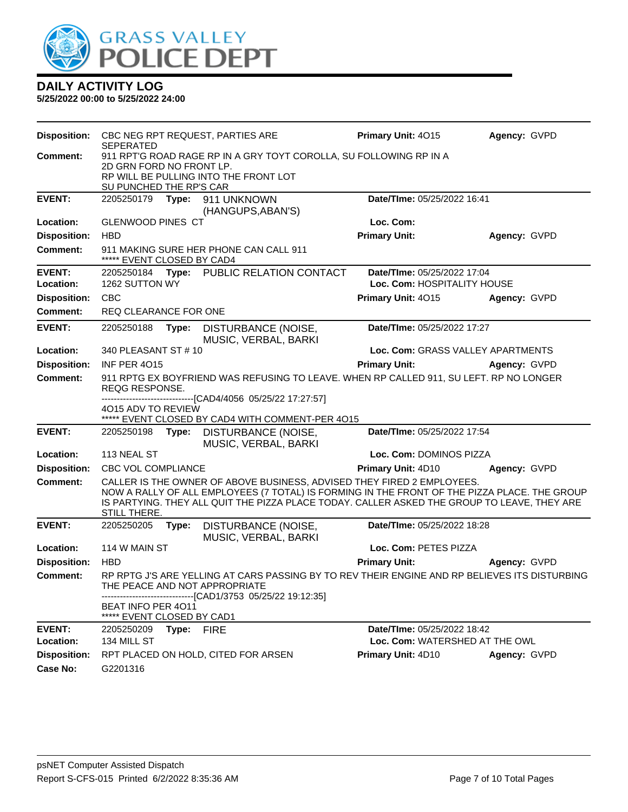

|                     | Disposition: CBC NEG RPT REQUEST, PARTIES ARE<br>SEPERATED         |            |                                                                                                                                                                                                                                                                       | Primary Unit: 4015                | Agency: GVPD |
|---------------------|--------------------------------------------------------------------|------------|-----------------------------------------------------------------------------------------------------------------------------------------------------------------------------------------------------------------------------------------------------------------------|-----------------------------------|--------------|
| Comment:            | 911 RPT'G ROAD RAGE RP IN A GRY TOYT COROLLA, SU FOLLOWING RP IN A |            |                                                                                                                                                                                                                                                                       |                                   |              |
|                     | 2D GRN FORD NO FRONT LP.<br>RP WILL BE PULLING INTO THE FRONT LOT  |            |                                                                                                                                                                                                                                                                       |                                   |              |
|                     | SU PUNCHED THE RP'S CAR                                            |            |                                                                                                                                                                                                                                                                       |                                   |              |
| <b>EVENT:</b>       | 2205250179                                                         |            | Type: 911 UNKNOWN                                                                                                                                                                                                                                                     | Date/TIme: 05/25/2022 16:41       |              |
|                     |                                                                    |            | (HANGUPS, ABAN'S)                                                                                                                                                                                                                                                     |                                   |              |
| Location:           | <b>GLENWOOD PINES CT</b>                                           |            |                                                                                                                                                                                                                                                                       | Loc. Com:                         |              |
| <b>Disposition:</b> | <b>HBD</b>                                                         |            |                                                                                                                                                                                                                                                                       | <b>Primary Unit:</b>              | Agency: GVPD |
| <b>Comment:</b>     | ***** EVENT CLOSED BY CAD4                                         |            | 911 MAKING SURE HER PHONE CAN CALL 911                                                                                                                                                                                                                                |                                   |              |
| <b>EVENT:</b>       | 2205250184                                                         |            | Type: PUBLIC RELATION CONTACT                                                                                                                                                                                                                                         | Date/TIme: 05/25/2022 17:04       |              |
| Location:           | 1262 SUTTON WY                                                     |            |                                                                                                                                                                                                                                                                       | Loc. Com: HOSPITALITY HOUSE       |              |
| <b>Disposition:</b> | <b>CBC</b>                                                         |            |                                                                                                                                                                                                                                                                       | Primary Unit: 4015                | Agency: GVPD |
| <b>Comment:</b>     | REQ CLEARANCE FOR ONE                                              |            |                                                                                                                                                                                                                                                                       |                                   |              |
| <b>EVENT:</b>       | 2205250188                                                         | Type:      | DISTURBANCE (NOISE,<br>MUSIC, VERBAL, BARKI                                                                                                                                                                                                                           | Date/TIme: 05/25/2022 17:27       |              |
| Location:           | 340 PLEASANT ST # 10                                               |            |                                                                                                                                                                                                                                                                       | Loc. Com: GRASS VALLEY APARTMENTS |              |
| <b>Disposition:</b> | <b>INF PER 4015</b>                                                |            |                                                                                                                                                                                                                                                                       | <b>Primary Unit:</b>              | Agency: GVPD |
| <b>Comment:</b>     | <b>REQG RESPONSE.</b>                                              |            | 911 RPTG EX BOYFRIEND WAS REFUSING TO LEAVE. WHEN RP CALLED 911, SU LEFT. RP NO LONGER                                                                                                                                                                                |                                   |              |
|                     | 4015 ADV TO REVIEW                                                 |            | ----------------[CAD4/4056 05/25/22 17:27:57]<br>***** EVENT CLOSED BY CAD4 WITH COMMENT-PER 4015                                                                                                                                                                     |                                   |              |
| <b>EVENT:</b>       |                                                                    |            | 2205250198 Type: DISTURBANCE (NOISE,<br>MUSIC, VERBAL, BARKI                                                                                                                                                                                                          | Date/TIme: 05/25/2022 17:54       |              |
| Location:           | 113 NEAL ST                                                        |            |                                                                                                                                                                                                                                                                       | Loc. Com: DOMINOS PIZZA           |              |
| <b>Disposition:</b> | <b>CBC VOL COMPLIANCE</b>                                          |            |                                                                                                                                                                                                                                                                       | <b>Primary Unit: 4D10</b>         | Agency: GVPD |
| <b>Comment:</b>     | STILL THERE.                                                       |            | CALLER IS THE OWNER OF ABOVE BUSINESS, ADVISED THEY FIRED 2 EMPLOYEES.<br>NOW A RALLY OF ALL EMPLOYEES (7 TOTAL) IS FORMING IN THE FRONT OF THE PIZZA PLACE. THE GROUP<br>IS PARTYING. THEY ALL QUIT THE PIZZA PLACE TODAY. CALLER ASKED THE GROUP TO LEAVE, THEY ARE |                                   |              |
| <b>EVENT:</b>       | 2205250205 Type:                                                   |            | DISTURBANCE (NOISE,<br>MUSIC, VERBAL, BARKI                                                                                                                                                                                                                           | Date/TIme: 05/25/2022 18:28       |              |
| Location:           | 114 W MAIN ST                                                      |            |                                                                                                                                                                                                                                                                       | Loc. Com: PETES PIZZA             |              |
| <b>Disposition:</b> | <b>HBD</b>                                                         |            |                                                                                                                                                                                                                                                                       | <b>Primary Unit:</b>              | Agency: GVPD |
| Comment:            |                                                                    |            | RP RPTG J'S ARE YELLING AT CARS PASSING BY TO REV THEIR ENGINE AND RP BELIEVES ITS DISTURBING<br>THE PEACE AND NOT APPROPRIATE                                                                                                                                        |                                   |              |
|                     | <b>BEAT INFO PER 4011</b><br>***** EVENT CLOSED BY CAD1            |            | --------------------------------[CAD1/3753 05/25/22 19:12:35]                                                                                                                                                                                                         |                                   |              |
| <b>EVENT:</b>       | 2205250209                                                         | Type: FIRE |                                                                                                                                                                                                                                                                       | Date/TIme: 05/25/2022 18:42       |              |
| Location:           | 134 MILL ST                                                        |            |                                                                                                                                                                                                                                                                       | Loc. Com: WATERSHED AT THE OWL    |              |
| <b>Disposition:</b> |                                                                    |            | RPT PLACED ON HOLD, CITED FOR ARSEN                                                                                                                                                                                                                                   | <b>Primary Unit: 4D10</b>         | Agency: GVPD |
| <b>Case No:</b>     | G2201316                                                           |            |                                                                                                                                                                                                                                                                       |                                   |              |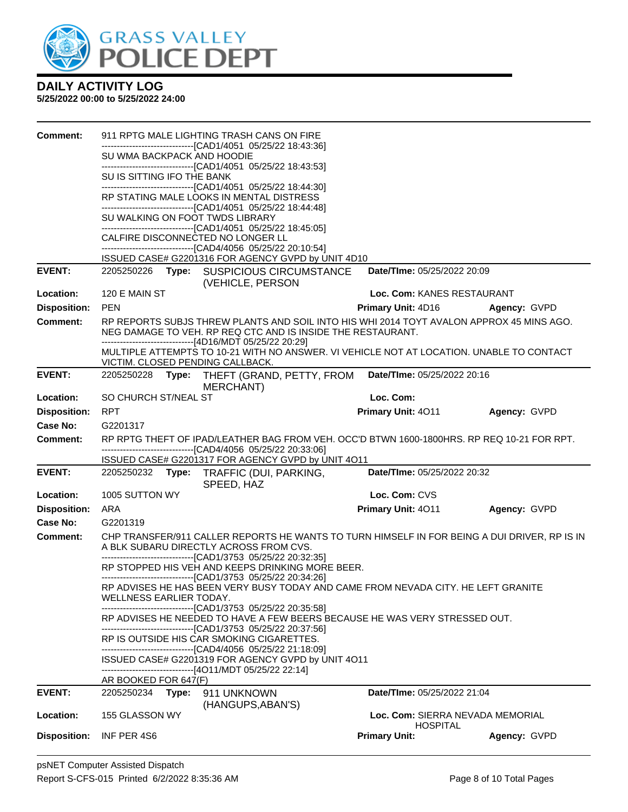

| <b>Comment:</b>     |                                   | 911 RPTG MALE LIGHTING TRASH CANS ON FIRE                                                                                                                                                                          |                                                     |                     |
|---------------------|-----------------------------------|--------------------------------------------------------------------------------------------------------------------------------------------------------------------------------------------------------------------|-----------------------------------------------------|---------------------|
|                     |                                   | -------------------------------[CAD1/4051 05/25/22 18:43:36]                                                                                                                                                       |                                                     |                     |
|                     | SU WMA BACKPACK AND HOODIE        | -------------------------------[CAD1/4051 05/25/22 18:43:53]                                                                                                                                                       |                                                     |                     |
|                     | SU IS SITTING IFO THE BANK        |                                                                                                                                                                                                                    |                                                     |                     |
|                     |                                   | --------------------------------[CAD1/4051 05/25/22 18:44:30]<br>RP STATING MALE LOOKS IN MENTAL DISTRESS                                                                                                          |                                                     |                     |
|                     |                                   | -------------------------------[CAD1/4051 05/25/22 18:44:48]                                                                                                                                                       |                                                     |                     |
|                     | SU WALKING ON FOOT TWDS LIBRARY   | -------------------------------[CAD1/4051 05/25/22 18:45:05]                                                                                                                                                       |                                                     |                     |
|                     | CALFIRE DISCONNECTED NO LONGER LL |                                                                                                                                                                                                                    |                                                     |                     |
|                     |                                   | -------------------------------[CAD4/4056 05/25/22 20:10:54]<br>ISSUED CASE# G2201316 FOR AGENCY GVPD by UNIT 4D10                                                                                                 |                                                     |                     |
| <b>EVENT:</b>       |                                   | 2205250226 Type: SUSPICIOUS CIRCUMSTANCE<br>(VEHICLE, PERSON                                                                                                                                                       | Date/TIme: 05/25/2022 20:09                         |                     |
| Location:           | 120 E MAIN ST                     |                                                                                                                                                                                                                    | Loc. Com: KANES RESTAURANT                          |                     |
| <b>Disposition:</b> | <b>PEN</b>                        |                                                                                                                                                                                                                    | <b>Primary Unit: 4D16</b>                           | <b>Agency: GVPD</b> |
| <b>Comment:</b>     |                                   | RP REPORTS SUBJS THREW PLANTS AND SOIL INTO HIS WHI 2014 TOYT AVALON APPROX 45 MINS AGO.<br>NEG DAMAGE TO VEH. RP REQ CTC AND IS INSIDE THE RESTAURANT.<br>------------------------------[4D16/MDT 05/25/22 20:29] |                                                     |                     |
|                     | VICTIM. CLOSED PENDING CALLBACK.  | MULTIPLE ATTEMPTS TO 10-21 WITH NO ANSWER. VI VEHICLE NOT AT LOCATION. UNABLE TO CONTACT                                                                                                                           |                                                     |                     |
| <b>EVENT:</b>       |                                   | 2205250228 Type: THEFT (GRAND, PETTY, FROM<br><b>MERCHANT)</b>                                                                                                                                                     | Date/TIme: 05/25/2022 20:16                         |                     |
| Location:           | SO CHURCH ST/NEAL ST              |                                                                                                                                                                                                                    | Loc. Com:                                           |                     |
| <b>Disposition:</b> | <b>RPT</b>                        |                                                                                                                                                                                                                    | <b>Primary Unit: 4011</b>                           | Agency: GVPD        |
| Case No:            | G2201317                          |                                                                                                                                                                                                                    |                                                     |                     |
| Comment:            |                                   | RP RPTG THEFT OF IPAD/LEATHER BAG FROM VEH. OCC'D BTWN 1600-1800HRS. RP REQ 10-21 FOR RPT.                                                                                                                         |                                                     |                     |
|                     |                                   | -------------------------------[CAD4/4056 05/25/22 20:33:06]<br>ISSUED CASE# G2201317 FOR AGENCY GVPD by UNIT 4011                                                                                                 |                                                     |                     |
|                     |                                   |                                                                                                                                                                                                                    |                                                     |                     |
| <b>EVENT:</b>       |                                   | 2205250232 Type: TRAFFIC (DUI, PARKING,                                                                                                                                                                            | Date/TIme: 05/25/2022 20:32                         |                     |
| Location:           | 1005 SUTTON WY                    | SPEED, HAZ                                                                                                                                                                                                         | Loc. Com: CVS                                       |                     |
| <b>Disposition:</b> | ARA                               |                                                                                                                                                                                                                    | Primary Unit: 4011                                  | Agency: GVPD        |
| <b>Case No:</b>     | G2201319                          |                                                                                                                                                                                                                    |                                                     |                     |
| Comment:            |                                   | CHP TRANSFER/911 CALLER REPORTS HE WANTS TO TURN HIMSELF IN FOR BEING A DUI DRIVER, RP IS IN<br>A BLK SUBARU DIRECTLY ACROSS FROM CVS.                                                                             |                                                     |                     |
|                     |                                   | -------------------------------[CAD1/3753 05/25/22 20:32:35]                                                                                                                                                       |                                                     |                     |
|                     |                                   | RP STOPPED HIS VEH AND KEEPS DRINKING MORE BEER.                                                                                                                                                                   |                                                     |                     |
|                     | WELLNESS EARLIER TODAY.           | -------------------------------[CAD1/3753 05/25/22 20:34:26]<br>RP ADVISES HE HAS BEEN VERY BUSY TODAY AND CAME FROM NEVADA CITY. HE LEFT GRANITE                                                                  |                                                     |                     |
|                     |                                   | ---------------------------------[CAD1/3753 05/25/22 20:35:58]<br>RP ADVISES HE NEEDED TO HAVE A FEW BEERS BECAUSE HE WAS VERY STRESSED OUT.                                                                       |                                                     |                     |
|                     |                                   | --------------------------------[CAD1/3753 05/25/22 20:37:56]<br>RP IS OUTSIDE HIS CAR SMOKING CIGARETTES.                                                                                                         |                                                     |                     |
|                     |                                   | --------------------------------[CAD4/4056 05/25/22 21:18:09]<br>ISSUED CASE# G2201319 FOR AGENCY GVPD by UNIT 4011                                                                                                |                                                     |                     |
|                     | AR BOOKED FOR 647(F)              | --------------------------------[4O11/MDT 05/25/22 22:14]                                                                                                                                                          |                                                     |                     |
| <b>EVENT:</b>       | 2205250234 Type:                  | 911 UNKNOWN<br>(HANGUPS, ABAN'S)                                                                                                                                                                                   | Date/TIme: 05/25/2022 21:04                         |                     |
| Location:           | 155 GLASSON WY                    |                                                                                                                                                                                                                    | Loc. Com: SIERRA NEVADA MEMORIAL<br><b>HOSPITAL</b> |                     |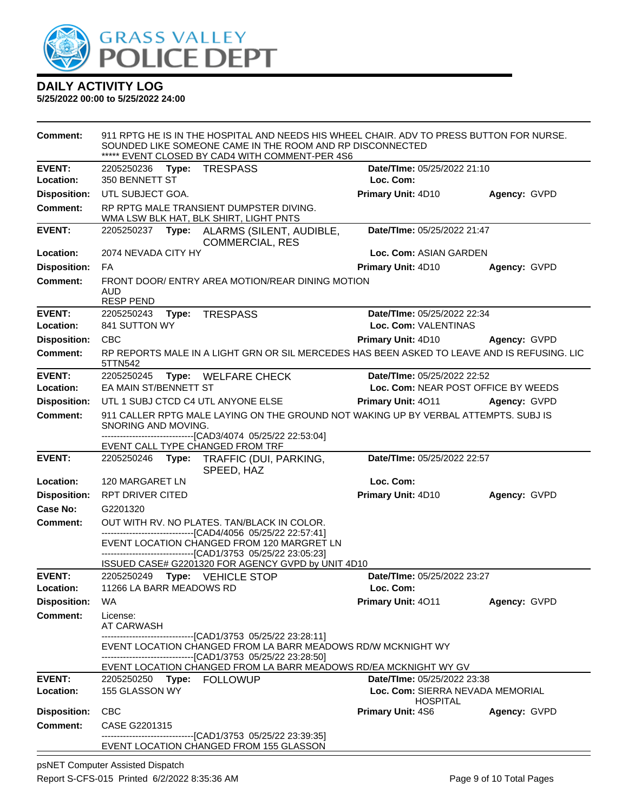

**5/25/2022 00:00 to 5/25/2022 24:00**

| <b>Comment:</b>                        | SOUNDED LIKE SOMEONE CAME IN THE ROOM AND RP DISCONNECTED<br>***** EVENT CLOSED BY CAD4 WITH COMMENT-PER 4S6                                                   | 911 RPTG HE IS IN THE HOSPITAL AND NEEDS HIS WHEEL CHAIR. ADV TO PRESS BUTTON FOR NURSE.    |              |
|----------------------------------------|----------------------------------------------------------------------------------------------------------------------------------------------------------------|---------------------------------------------------------------------------------------------|--------------|
| <b>EVENT:</b>                          | 2205250236 Type: TRESPASS                                                                                                                                      | Date/TIme: 05/25/2022 21:10                                                                 |              |
| Location:                              | 350 BENNETT ST                                                                                                                                                 | Loc. Com:                                                                                   |              |
| <b>Disposition:</b>                    | UTL SUBJECT GOA.                                                                                                                                               | Primary Unit: 4D10                                                                          | Agency: GVPD |
| <b>Comment:</b>                        | RP RPTG MALE TRANSIENT DUMPSTER DIVING.<br>WMA LSW BLK HAT, BLK SHIRT, LIGHT PNTS                                                                              |                                                                                             |              |
| <b>EVENT:</b>                          | 2205250237 Type: ALARMS (SILENT, AUDIBLE,<br><b>COMMERCIAL, RES</b>                                                                                            | Date/TIme: 05/25/2022 21:47                                                                 |              |
| Location:                              | 2074 NEVADA CITY HY                                                                                                                                            | Loc. Com: ASIAN GARDEN                                                                      |              |
| <b>Disposition:</b>                    | FA                                                                                                                                                             | <b>Primary Unit: 4D10</b>                                                                   | Agency: GVPD |
| <b>Comment:</b>                        | FRONT DOOR/ ENTRY AREA MOTION/REAR DINING MOTION<br><b>AUD</b><br><b>RESP PEND</b>                                                                             |                                                                                             |              |
| <b>EVENT:</b><br>Location:             | <b>TRESPASS</b><br>2205250243 Type:<br>841 SUTTON WY                                                                                                           | Date/TIme: 05/25/2022 22:34<br>Loc. Com: VALENTINAS                                         |              |
| <b>Disposition:</b>                    | <b>CBC</b>                                                                                                                                                     | <b>Primary Unit: 4D10</b>                                                                   | Agency: GVPD |
| <b>Comment:</b>                        | 5TTN542                                                                                                                                                        | RP REPORTS MALE IN A LIGHT GRN OR SIL MERCEDES HAS BEEN ASKED TO LEAVE AND IS REFUSING. LIC |              |
| <b>EVENT:</b>                          | 2205250245<br><b>WELFARE CHECK</b><br>Type:                                                                                                                    | Date/TIme: 05/25/2022 22:52                                                                 |              |
| Location:                              | EA MAIN ST/BENNETT ST                                                                                                                                          | Loc. Com: NEAR POST OFFICE BY WEEDS                                                         |              |
| <b>Disposition:</b>                    | UTL 1 SUBJ CTCD C4 UTL ANYONE ELSE                                                                                                                             | <b>Primary Unit: 4011</b>                                                                   | Agency: GVPD |
| <b>Comment:</b>                        | SNORING AND MOVING.<br>-------------------------------[CAD3/4074 05/25/22 22:53:04]                                                                            | 911 CALLER RPTG MALE LAYING ON THE GROUND NOT WAKING UP BY VERBAL ATTEMPTS. SUBJ IS         |              |
| <b>EVENT:</b>                          | EVENT CALL TYPE CHANGED FROM TRF<br>2205250246 Type: TRAFFIC (DUI, PARKING,<br>SPEED, HAZ                                                                      | Date/TIme: 05/25/2022 22:57                                                                 |              |
| Location:                              | 120 MARGARET LN                                                                                                                                                | Loc. Com:                                                                                   |              |
| <b>Disposition:</b>                    | <b>RPT DRIVER CITED</b>                                                                                                                                        | Primary Unit: 4D10                                                                          | Agency: GVPD |
| Case No:                               | G2201320                                                                                                                                                       |                                                                                             |              |
| <b>Comment:</b>                        | OUT WITH RV. NO PLATES. TAN/BLACK IN COLOR.                                                                                                                    |                                                                                             |              |
|                                        | -------------------------------[CAD4/4056 05/25/22 22:57:41]<br>EVENT LOCATION CHANGED FROM 120 MARGRET LN<br>-------------------[CAD1/3753_05/25/22 23:05:23] |                                                                                             |              |
|                                        | ISSUED CASE# G2201320 FOR AGENCY GVPD by UNIT 4D10                                                                                                             |                                                                                             |              |
| <b>EVENT:</b><br>Location:             | 2205250249 Type: VEHICLE STOP<br>11266 LA BARR MEADOWS RD                                                                                                      | Date/TIme: 05/25/2022 23:27<br>Loc. Com:                                                    |              |
|                                        |                                                                                                                                                                |                                                                                             |              |
| <b>Disposition:</b><br><b>Comment:</b> | WA.                                                                                                                                                            | <b>Primary Unit: 4011</b>                                                                   | Agency: GVPD |
|                                        | License:<br>AT CARWASH<br>-------------------------------[CAD1/3753 05/25/22 23:28:11]                                                                         |                                                                                             |              |
|                                        | EVENT LOCATION CHANGED FROM LA BARR MEADOWS RD/W MCKNIGHT WY<br>--------------------------------[CAD1/3753 05/25/22 23:28:50]                                  | EVENT LOCATION CHANGED FROM LA BARR MEADOWS RD/EA MCKNIGHT WY GV                            |              |
| <b>EVENT:</b>                          | 2205250250 Type: FOLLOWUP                                                                                                                                      | Date/TIme: 05/25/2022 23:38                                                                 |              |
| Location:                              | 155 GLASSON WY                                                                                                                                                 | Loc. Com: SIERRA NEVADA MEMORIAL<br><b>HOSPITAL</b>                                         |              |
| <b>Disposition:</b>                    | <b>CBC</b>                                                                                                                                                     | <b>Primary Unit: 4S6</b>                                                                    | Agency: GVPD |
| <b>Comment:</b>                        | CASE G2201315<br>--------------------------------[CAD1/3753 05/25/22 23:39:35]                                                                                 |                                                                                             |              |
|                                        | EVENT LOCATION CHANGED FROM 155 GLASSON                                                                                                                        |                                                                                             |              |

psNET Computer Assisted Dispatch Report S-CFS-015 Printed 6/2/2022 8:35:36 AM Page 9 of 10 Total Pages